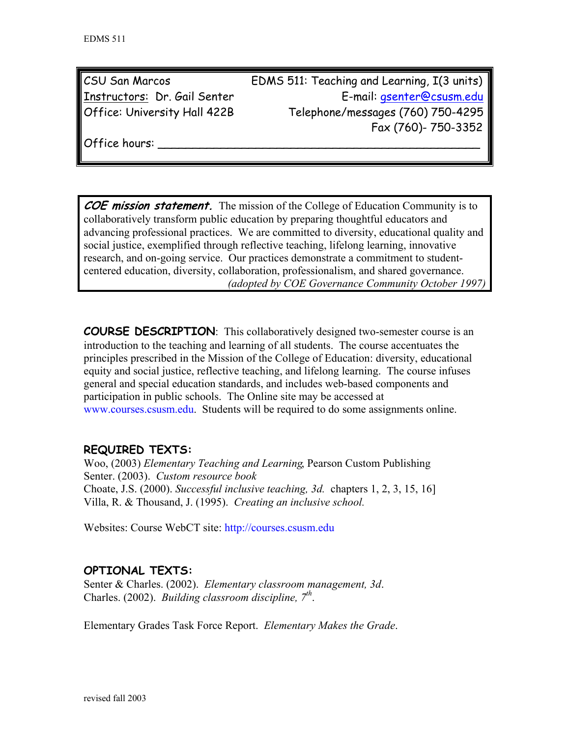| CSU San Marcos               | EDMS 511: Teaching and Learning, I(3 units) |  |
|------------------------------|---------------------------------------------|--|
| Instructors: Dr. Gail Senter | E-mail: <i>gsenter@csusm.edu</i>            |  |
| Office: University Hall 422B | Telephone/messages (760) 750-4295           |  |
|                              | Fax (760)- 750-3352                         |  |

Office hours:

**COE mission statement.** The mission of the College of Education Community is to collaboratively transform public education by preparing thoughtful educators and advancing professional practices. We are committed to diversity, educational quality and social justice, exemplified through reflective teaching, lifelong learning, innovative research, and on-going service. Our practices demonstrate a commitment to studentcentered education, diversity, collaboration, professionalism, and shared governance. *(adopted by COE Governance Community October 1997)*

**COURSE DESCRIPTION**: This collaboratively designed two-semester course is an introduction to the teaching and learning of all students. The course accentuates the principles prescribed in the Mission of the College of Education: diversity, educational equity and social justice, reflective teaching, and lifelong learning. The course infuses general and special education standards, and includes web-based components and participation in public schools. The Online site may be accessed at www.courses.csusm.edu. Students will be required to do some assignments online.

# **REQUIRED TEXTS:**

Woo, (2003) *Elementary Teaching and Learning*, Pearson Custom Publishing Senter. (2003). *Custom resource book*  Choate, J.S. (2000). *Successful inclusive teaching, 3d.* chapters 1, 2, 3, 15, 16] Villa, R. & Thousand, J. (1995). *Creating an inclusive school.*

Websites: Course WebCT site: http://courses.csusm.edu

# **OPTIONAL TEXTS:**

Senter & Charles. (2002). *Elementary classroom management, 3d*. Charles. (2002). *Building classroom discipline, 7th*.

Elementary Grades Task Force Report. *Elementary Makes the Grade*.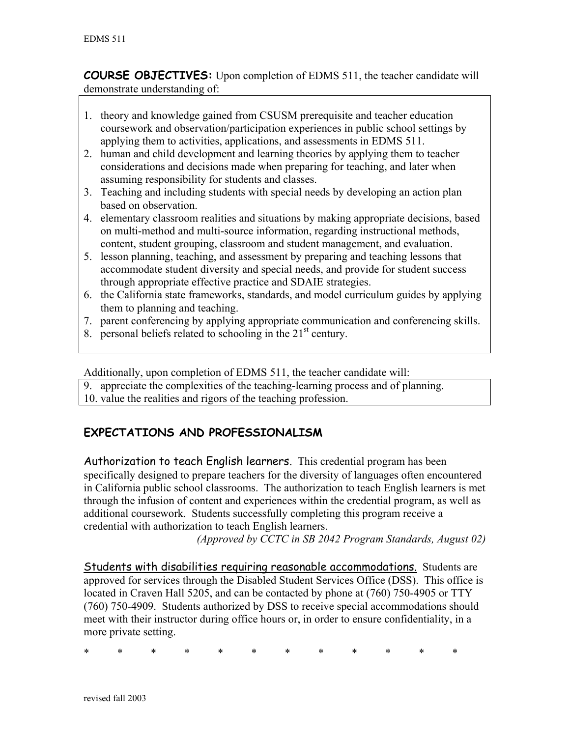**COURSE OBJECTIVES:** Upon completion of EDMS 511, the teacher candidate will demonstrate understanding of:

- 1. theory and knowledge gained from CSUSM prerequisite and teacher education coursework and observation/participation experiences in public school settings by applying them to activities, applications, and assessments in EDMS 511.
- 2. human and child development and learning theories by applying them to teacher considerations and decisions made when preparing for teaching, and later when assuming responsibility for students and classes.
- 3. Teaching and including students with special needs by developing an action plan based on observation.
- 4. elementary classroom realities and situations by making appropriate decisions, based on multi-method and multi-source information, regarding instructional methods, content, student grouping, classroom and student management, and evaluation.
- 5. lesson planning, teaching, and assessment by preparing and teaching lessons that accommodate student diversity and special needs, and provide for student success through appropriate effective practice and SDAIE strategies.
- 6. the California state frameworks, standards, and model curriculum guides by applying them to planning and teaching.
- 7. parent conferencing by applying appropriate communication and conferencing skills.
- 8. personal beliefs related to schooling in the  $21<sup>st</sup>$  century.

Additionally, upon completion of EDMS 511, the teacher candidate will:

- 9. appreciate the complexities of the teaching-learning process and of planning.
- 10. value the realities and rigors of the teaching profession.

# **EXPECTATIONS AND PROFESSIONALISM**

Authorization to teach English learners. This credential program has been specifically designed to prepare teachers for the diversity of languages often encountered in California public school classrooms. The authorization to teach English learners is met through the infusion of content and experiences within the credential program, as well as additional coursework. Students successfully completing this program receive a credential with authorization to teach English learners.

*(Approved by CCTC in SB 2042 Program Standards, August 02)* 

Students with disabilities requiring reasonable accommodations. Students are approved for services through the Disabled Student Services Office (DSS). This office is located in Craven Hall 5205, and can be contacted by phone at (760) 750-4905 or TTY (760) 750-4909. Students authorized by DSS to receive special accommodations should meet with their instructor during office hours or, in order to ensure confidentiality, in a more private setting.

\* \* \* \* \* \* \* \* \* \* \* \*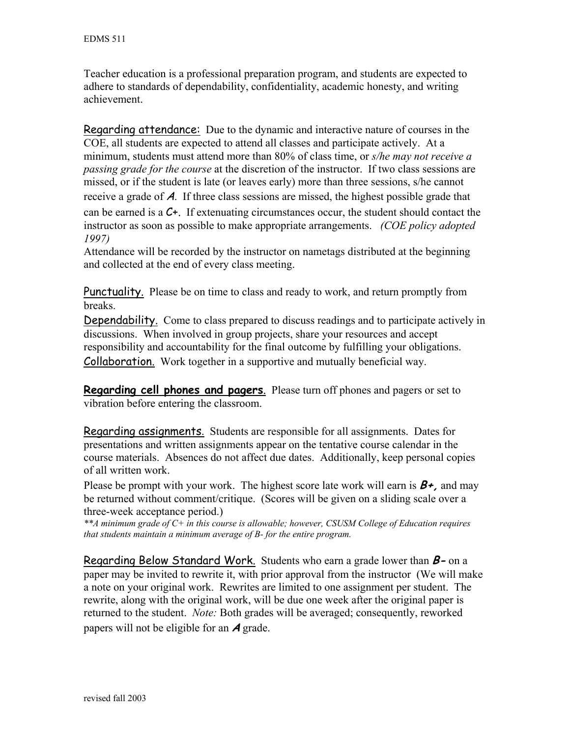Teacher education is a professional preparation program, and students are expected to adhere to standards of dependability, confidentiality, academic honesty, and writing achievement.

Regarding attendance: Due to the dynamic and interactive nature of courses in the COE, all students are expected to attend all classes and participate actively. At a minimum, students must attend more than 80% of class time, or *s/he may not receive a passing grade for the course* at the discretion of the instructor. If two class sessions are missed, or if the student is late (or leaves early) more than three sessions, s/he cannot receive a grade of A. If three class sessions are missed, the highest possible grade that can be earned is a C+. If extenuating circumstances occur, the student should contact the instructor as soon as possible to make appropriate arrangements. *(COE policy adopted 1997)*

Attendance will be recorded by the instructor on nametags distributed at the beginning and collected at the end of every class meeting.

Punctuality. Please be on time to class and ready to work, and return promptly from breaks.

Dependability. Come to class prepared to discuss readings and to participate actively in discussions. When involved in group projects, share your resources and accept responsibility and accountability for the final outcome by fulfilling your obligations. Collaboration. Work together in a supportive and mutually beneficial way.

**Regarding cell phones and pagers**. Please turn off phones and pagers or set to vibration before entering the classroom.

Regarding assignments. Students are responsible for all assignments. Dates for presentations and written assignments appear on the tentative course calendar in the course materials. Absences do not affect due dates. Additionally, keep personal copies of all written work.

Please be prompt with your work. The highest score late work will earn is **B+,** and may be returned without comment/critique. (Scores will be given on a sliding scale over a three-week acceptance period.)

*\*\*A minimum grade of C+ in this course is allowable; however, CSUSM College of Education requires that students maintain a minimum average of B- for the entire program.* 

Regarding Below Standard Work. Students who earn a grade lower than **B-** on a paper may be invited to rewrite it, with prior approval from the instructor (We will make a note on your original work. Rewrites are limited to one assignment per student. The rewrite, along with the original work, will be due one week after the original paper is returned to the student. *Note:* Both grades will be averaged; consequently, reworked papers will not be eligible for an **A** grade.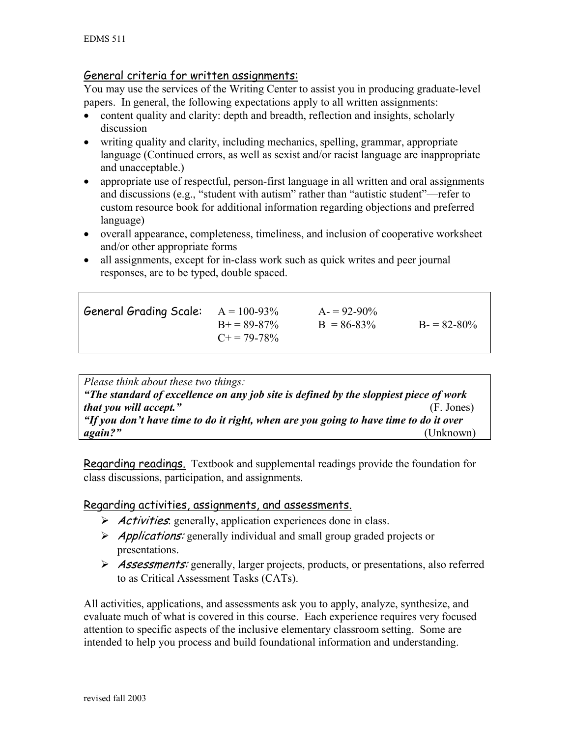## General criteria for written assignments:

You may use the services of the Writing Center to assist you in producing graduate-level papers. In general, the following expectations apply to all written assignments:

- content quality and clarity: depth and breadth, reflection and insights, scholarly discussion
- writing quality and clarity, including mechanics, spelling, grammar, appropriate language (Continued errors, as well as sexist and/or racist language are inappropriate and unacceptable.)
- appropriate use of respectful, person-first language in all written and oral assignments and discussions (e.g., "student with autism" rather than "autistic student"—refer to custom resource book for additional information regarding objections and preferred language)
- overall appearance, completeness, timeliness, and inclusion of cooperative worksheet and/or other appropriate forms
- all assignments, except for in-class work such as quick writes and peer journal responses, are to be typed, double spaced.

| General Grading Scale: $A = 100-93\%$ | $B_{+} = 89 - 87\%$<br>$C_{\pm} = 79-78\%$ | $A = 92-90\%$<br>$B = 86-83\%$ | $B = 82 - 80\%$ |
|---------------------------------------|--------------------------------------------|--------------------------------|-----------------|
|                                       |                                            |                                |                 |

| Please think about these two things:                                                  |            |  |  |
|---------------------------------------------------------------------------------------|------------|--|--|
| "The standard of excellence on any job site is defined by the sloppiest piece of work |            |  |  |
| that you will accept."                                                                | (F. Jones) |  |  |
| "If you don't have time to do it right, when are you going to have time to do it over |            |  |  |
| again?"                                                                               | (Unknown)  |  |  |

Regarding readings. Textbook and supplemental readings provide the foundation for class discussions, participation, and assignments.

## Regarding activities, assignments, and assessments.

- $\triangleright$  *Activities*: generally, application experiences done in class.
- $\triangleright$  *Applications:* generally individual and small group graded projects or presentations.
- ¾ Assessments: generally, larger projects, products, or presentations, also referred to as Critical Assessment Tasks (CATs).

All activities, applications, and assessments ask you to apply, analyze, synthesize, and evaluate much of what is covered in this course. Each experience requires very focused attention to specific aspects of the inclusive elementary classroom setting. Some are intended to help you process and build foundational information and understanding.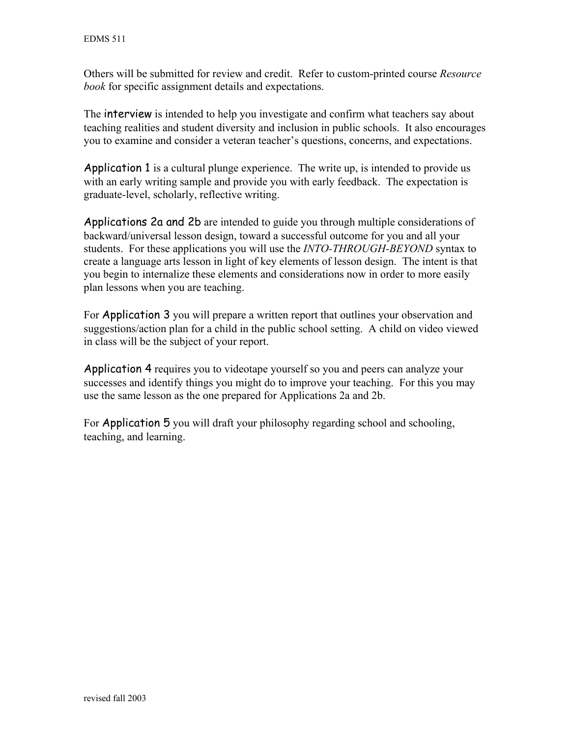Others will be submitted for review and credit. Refer to custom-printed course *Resource book* for specific assignment details and expectations.

The interview is intended to help you investigate and confirm what teachers say about teaching realities and student diversity and inclusion in public schools. It also encourages you to examine and consider a veteran teacher's questions, concerns, and expectations.

Application 1 is a cultural plunge experience. The write up, is intended to provide us with an early writing sample and provide you with early feedback. The expectation is graduate-level, scholarly, reflective writing.

Applications 2a and 2b are intended to guide you through multiple considerations of backward/universal lesson design, toward a successful outcome for you and all your students. For these applications you will use the *INTO-THROUGH-BEYOND* syntax to create a language arts lesson in light of key elements of lesson design. The intent is that you begin to internalize these elements and considerations now in order to more easily plan lessons when you are teaching.

For Application 3 you will prepare a written report that outlines your observation and suggestions/action plan for a child in the public school setting. A child on video viewed in class will be the subject of your report.

Application 4 requires you to videotape yourself so you and peers can analyze your successes and identify things you might do to improve your teaching. For this you may use the same lesson as the one prepared for Applications 2a and 2b.

For Application 5 you will draft your philosophy regarding school and schooling, teaching, and learning.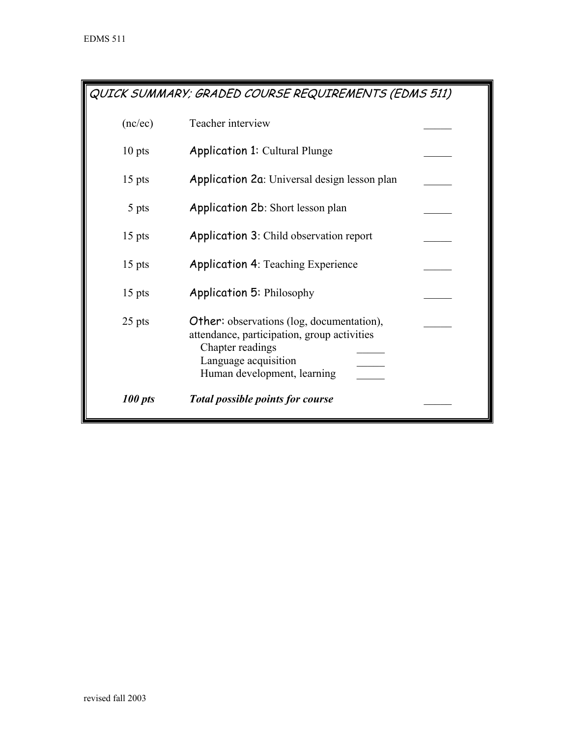QUICK SUMMARY; GRADED COURSE REQUIREMENTS (EDMS 511)

| (nc/ec)  | Teacher interview                                                                                                                                                          |  |
|----------|----------------------------------------------------------------------------------------------------------------------------------------------------------------------------|--|
| $10$ pts | <b>Application 1: Cultural Plunge</b>                                                                                                                                      |  |
| $15$ pts | Application 2a: Universal design lesson plan                                                                                                                               |  |
| 5 pts    | Application 2b: Short lesson plan                                                                                                                                          |  |
| $15$ pts | <b>Application 3: Child observation report</b>                                                                                                                             |  |
| $15$ pts | <b>Application 4: Teaching Experience</b>                                                                                                                                  |  |
| $15$ pts | <b>Application 5: Philosophy</b>                                                                                                                                           |  |
| 25 pts   | <b>Other:</b> observations (log, documentation),<br>attendance, participation, group activities<br>Chapter readings<br>Language acquisition<br>Human development, learning |  |
| 100 pts  | <b>Total possible points for course</b>                                                                                                                                    |  |